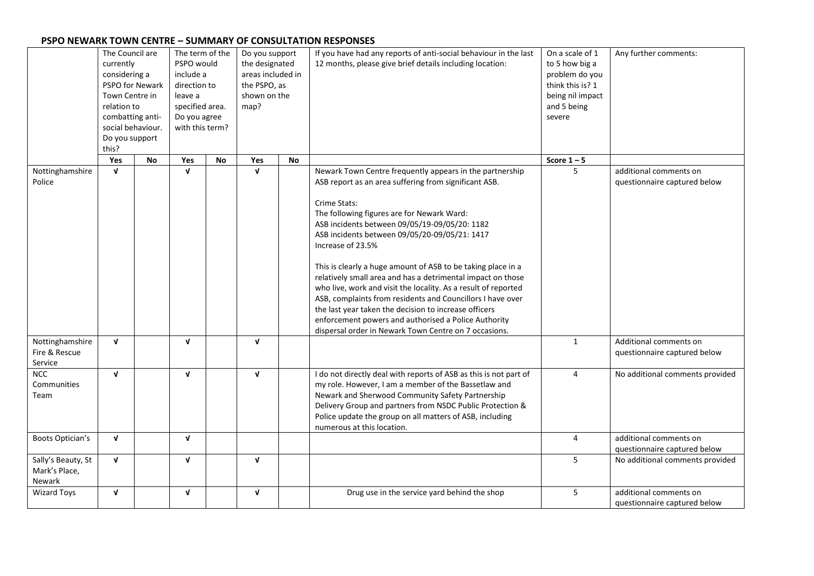## **PSPO NEWARK TOWN CENTRE – SUMMARY OF CONSULTATION RESPONSES**

|                                               | The Council are<br>currently<br>considering a<br>PSPO for Newark<br>Town Centre in<br>relation to<br>combatting anti-<br>social behaviour.<br>Do you support<br>this? |    | The term of the<br>PSPO would<br>include a<br>direction to<br>leave a<br>specified area.<br>Do you agree<br>with this term? |    | Do you support<br>the designated<br>areas included in<br>the PSPO, as<br>shown on the<br>map? |    | If you have had any reports of anti-social behaviour in the last<br>12 months, please give brief details including location:                                                                                                                                                                                                                                                                                                                                                                                                                                                                                                                                                                                                                    | On a scale of 1<br>to 5 how big a<br>problem do you<br>think this is? 1<br>being nil impact<br>and 5 being<br>severe | Any further comments:                                  |
|-----------------------------------------------|-----------------------------------------------------------------------------------------------------------------------------------------------------------------------|----|-----------------------------------------------------------------------------------------------------------------------------|----|-----------------------------------------------------------------------------------------------|----|-------------------------------------------------------------------------------------------------------------------------------------------------------------------------------------------------------------------------------------------------------------------------------------------------------------------------------------------------------------------------------------------------------------------------------------------------------------------------------------------------------------------------------------------------------------------------------------------------------------------------------------------------------------------------------------------------------------------------------------------------|----------------------------------------------------------------------------------------------------------------------|--------------------------------------------------------|
|                                               | Yes                                                                                                                                                                   | No | Yes                                                                                                                         | No | Yes                                                                                           | No |                                                                                                                                                                                                                                                                                                                                                                                                                                                                                                                                                                                                                                                                                                                                                 | Score $1 - 5$                                                                                                        |                                                        |
| Nottinghamshire<br>Police                     | $\mathbf{v}$                                                                                                                                                          |    | $\mathbf{v}$                                                                                                                |    | $\mathbf v$                                                                                   |    | Newark Town Centre frequently appears in the partnership<br>ASB report as an area suffering from significant ASB.<br>Crime Stats:<br>The following figures are for Newark Ward:<br>ASB incidents between 09/05/19-09/05/20: 1182<br>ASB incidents between 09/05/20-09/05/21: 1417<br>Increase of 23.5%<br>This is clearly a huge amount of ASB to be taking place in a<br>relatively small area and has a detrimental impact on those<br>who live, work and visit the locality. As a result of reported<br>ASB, complaints from residents and Councillors I have over<br>the last year taken the decision to increase officers<br>enforcement powers and authorised a Police Authority<br>dispersal order in Newark Town Centre on 7 occasions. | 5                                                                                                                    | additional comments on<br>questionnaire captured below |
| Nottinghamshire<br>Fire & Rescue<br>Service   | $\mathbf v$                                                                                                                                                           |    | $\mathbf{v}$                                                                                                                |    | $\mathbf{v}$                                                                                  |    |                                                                                                                                                                                                                                                                                                                                                                                                                                                                                                                                                                                                                                                                                                                                                 | $\mathbf{1}$                                                                                                         | Additional comments on<br>questionnaire captured below |
| <b>NCC</b><br>Communities<br>Team             | $\mathbf{v}$                                                                                                                                                          |    | $\mathbf{v}$                                                                                                                |    | $\mathbf{v}$                                                                                  |    | I do not directly deal with reports of ASB as this is not part of<br>my role. However, I am a member of the Bassetlaw and<br>Newark and Sherwood Community Safety Partnership<br>Delivery Group and partners from NSDC Public Protection &<br>Police update the group on all matters of ASB, including<br>numerous at this location.                                                                                                                                                                                                                                                                                                                                                                                                            | $\overline{4}$                                                                                                       | No additional comments provided                        |
| Boots Optician's                              | $\mathbf{v}$                                                                                                                                                          |    | $\mathbf{v}$                                                                                                                |    |                                                                                               |    |                                                                                                                                                                                                                                                                                                                                                                                                                                                                                                                                                                                                                                                                                                                                                 | $\overline{4}$                                                                                                       | additional comments on<br>questionnaire captured below |
| Sally's Beauty, St<br>Mark's Place,<br>Newark | $\mathbf v$                                                                                                                                                           |    | $\mathbf{v}$                                                                                                                |    | $\mathbf v$                                                                                   |    |                                                                                                                                                                                                                                                                                                                                                                                                                                                                                                                                                                                                                                                                                                                                                 | 5                                                                                                                    | No additional comments provided                        |
| Wizard Toys                                   | V                                                                                                                                                                     |    | $\mathbf v$                                                                                                                 |    | V                                                                                             |    | Drug use in the service yard behind the shop                                                                                                                                                                                                                                                                                                                                                                                                                                                                                                                                                                                                                                                                                                    | 5                                                                                                                    | additional comments on<br>questionnaire captured below |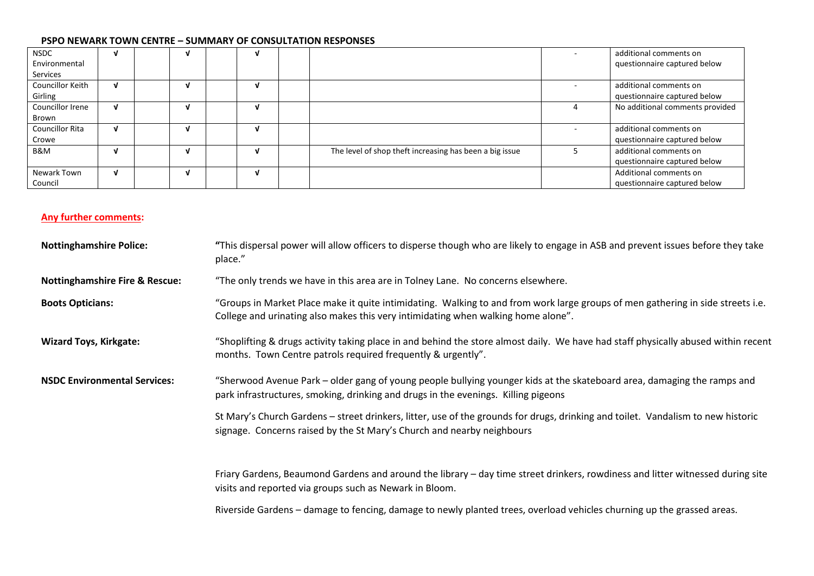## **PSPO NEWARK TOWN CENTRE – SUMMARY OF CONSULTATION RESPONSES**

| <b>NSDC</b>      |   |   |   |                                                         | additional comments on          |
|------------------|---|---|---|---------------------------------------------------------|---------------------------------|
| Environmental    |   |   |   |                                                         | questionnaire captured below    |
| Services         |   |   |   |                                                         |                                 |
| Councillor Keith | V | v | N |                                                         | additional comments on          |
| Girling          |   |   |   |                                                         | questionnaire captured below    |
| Councillor Irene |   |   |   |                                                         | No additional comments provided |
| Brown            |   |   |   |                                                         |                                 |
| Councillor Rita  |   | v |   |                                                         | additional comments on          |
| Crowe            |   |   |   |                                                         | questionnaire captured below    |
| B&M              |   |   |   | The level of shop theft increasing has been a big issue | additional comments on          |
|                  |   |   |   |                                                         | questionnaire captured below    |
| Newark Town      |   |   |   |                                                         | Additional comments on          |
| Council          |   |   |   |                                                         | questionnaire captured below    |

## **Any further comments:**

| <b>Nottinghamshire Police:</b>            | "This dispersal power will allow officers to disperse though who are likely to engage in ASB and prevent issues before they take<br>place."                                                                          |  |  |  |  |
|-------------------------------------------|----------------------------------------------------------------------------------------------------------------------------------------------------------------------------------------------------------------------|--|--|--|--|
| <b>Nottinghamshire Fire &amp; Rescue:</b> | "The only trends we have in this area are in Tolney Lane. No concerns elsewhere.                                                                                                                                     |  |  |  |  |
| <b>Boots Opticians:</b>                   | "Groups in Market Place make it quite intimidating. Walking to and from work large groups of men gathering in side streets i.e.<br>College and urinating also makes this very intimidating when walking home alone". |  |  |  |  |
| <b>Wizard Toys, Kirkgate:</b>             | "Shoplifting & drugs activity taking place in and behind the store almost daily. We have had staff physically abused within recent<br>months. Town Centre patrols required frequently & urgently".                   |  |  |  |  |
| <b>NSDC Environmental Services:</b>       | "Sherwood Avenue Park – older gang of young people bullying younger kids at the skateboard area, damaging the ramps and<br>park infrastructures, smoking, drinking and drugs in the evenings. Killing pigeons        |  |  |  |  |
|                                           | St Mary's Church Gardens - street drinkers, litter, use of the grounds for drugs, drinking and toilet. Vandalism to new historic<br>signage. Concerns raised by the St Mary's Church and nearby neighbours           |  |  |  |  |
|                                           | Friary Gardens, Beaumond Gardens and around the library – day time street drinkers, rowdiness and litter witnessed during site<br>visits and reported via groups such as Newark in Bloom.                            |  |  |  |  |
|                                           | Riverside Gardens – damage to fencing, damage to newly planted trees, overload vehicles churning up the grassed areas.                                                                                               |  |  |  |  |